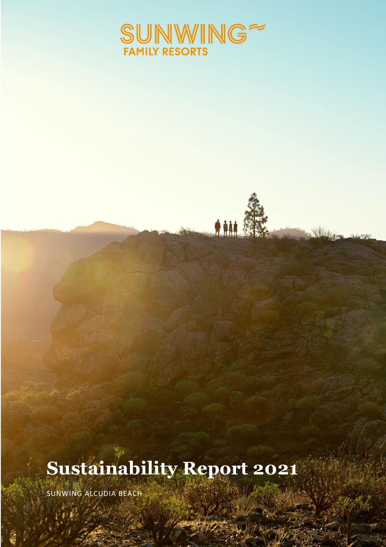

AM.

# **Sustainability Report 2021**

SUNWING ALCUDIA BEACH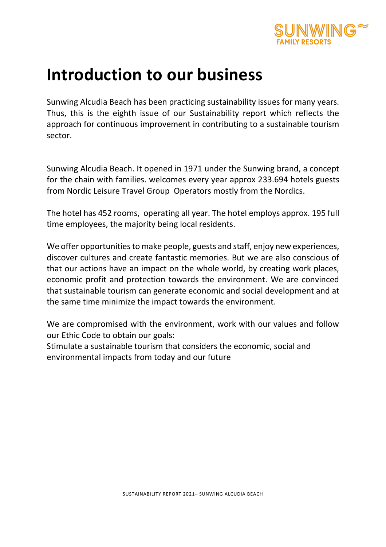

# **Introduction to our business**

Sunwing Alcudia Beach has been practicing sustainability issues for many years. Thus, this is the eighth issue of our Sustainability report which reflects the approach for continuous improvement in contributing to a sustainable tourism sector.

Sunwing Alcudia Beach. It opened in 1971 under the Sunwing brand, a concept for the chain with families. welcomes every year approx 233.694 hotels guests from Nordic Leisure Travel Group Operators mostly from the Nordics.

The hotel has 452 rooms, operating all year. The hotel employs approx. 195 full time employees, the majority being local residents.

We offer opportunities to make people, guests and staff, enjoy new experiences, discover cultures and create fantastic memories. But we are also conscious of that our actions have an impact on the whole world, by creating work places, economic profit and protection towards the environment. We are convinced that sustainable tourism can generate economic and social development and at the same time minimize the impact towards the environment.

We are compromised with the environment, work with our values and follow our Ethic Code to obtain our goals:

Stimulate a sustainable tourism that considers the economic, social and environmental impacts from today and our future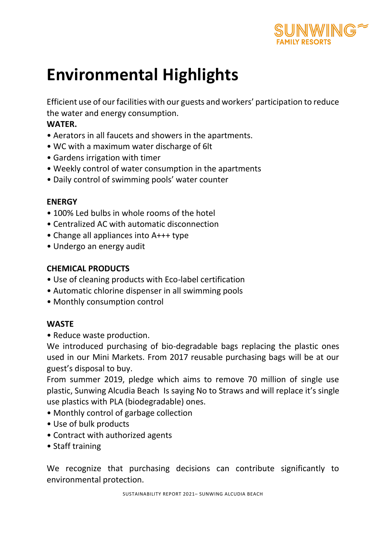

# **Environmental Highlights**

Efficient use of our facilities with our guests and workers' participation to reduce the water and energy consumption.

### **WATER.**

- Aerators in all faucets and showers in the apartments.
- WC with a maximum water discharge of 6lt
- Gardens irrigation with timer
- Weekly control of water consumption in the apartments
- Daily control of swimming pools' water counter

### **ENERGY**

- 100% Led bulbs in whole rooms of the hotel
- Centralized AC with automatic disconnection
- Change all appliances into A+++ type
- Undergo an energy audit

### **CHEMICAL PRODUCTS**

- Use of cleaning products with Eco-label certification
- Automatic chlorine dispenser in all swimming pools
- Monthly consumption control

### **WASTE**

• Reduce waste production.

We introduced purchasing of bio-degradable bags replacing the plastic ones used in our Mini Markets. From 2017 reusable purchasing bags will be at our guest's disposal to buy.

From summer 2019, pledge which aims to remove 70 million of single use plastic, Sunwing Alcudia Beach Is saying No to Straws and will replace it's single use plastics with PLA (biodegradable) ones.

- Monthly control of garbage collection
- Use of bulk products
- Contract with authorized agents
- Staff training

We recognize that purchasing decisions can contribute significantly to environmental protection.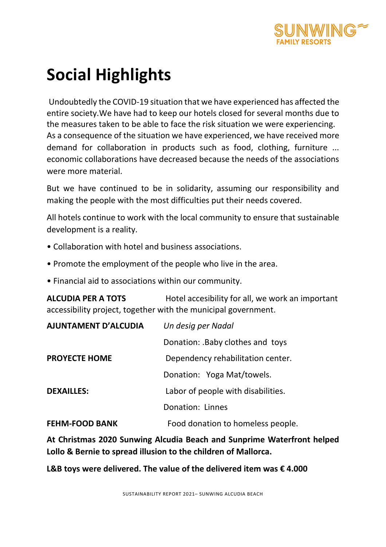

# **Social Highlights**

Undoubtedly the COVID-19 situation that we have experienced has affected the entire society.We have had to keep our hotels closed for several months due to the measures taken to be able to face the risk situation we were experiencing. As a consequence of the situation we have experienced, we have received more demand for collaboration in products such as food, clothing, furniture ... economic collaborations have decreased because the needs of the associations were more material.

But we have continued to be in solidarity, assuming our responsibility and making the people with the most difficulties put their needs covered.

All hotels continue to work with the local community to ensure that sustainable development is a reality.

- Collaboration with hotel and business associations.
- Promote the employment of the people who live in the area.
- Financial aid to associations within our community.

**ALCUDIA PER A TOTS** Hotel accesibility for all, we work an important accessibility project, together with the municipal government.

| <b>AJUNTAMENT D'ALCUDIA</b> | Un desig per Nadal                 |  |
|-----------------------------|------------------------------------|--|
|                             | Donation: .Baby clothes and toys   |  |
| <b>PROYECTE HOME</b>        | Dependency rehabilitation center.  |  |
|                             | Donation: Yoga Mat/towels.         |  |
| <b>DEXAILLES:</b>           | Labor of people with disabilities. |  |
|                             | Donation: Linnes                   |  |
| <b>FEHM-FOOD BANK</b>       | Food donation to homeless people.  |  |

**At Christmas 2020 Sunwing Alcudia Beach and Sunprime Waterfront helped Lollo & Bernie to spread illusion to the children of Mallorca.**

**L&B toys were delivered. The value of the delivered item was € 4.000**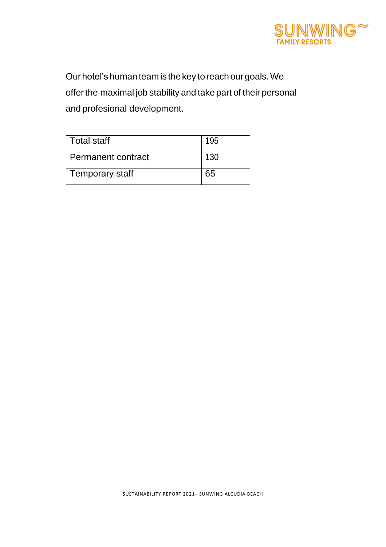

Our hotel's human team is the key to reach our goals. We offerthe maximal job stability and take part of their personal and profesional development.

| <b>Total staff</b> | 195 |
|--------------------|-----|
| Permanent contract | 130 |
| Temporary staff    |     |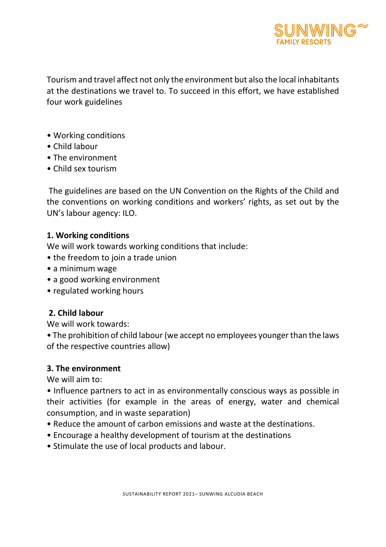

Tourism and travel affect not only the environment but also the local inhabitants at the destinations we travel to. To succeed in this effort, we have established four work guidelines

- Working conditions
- Child labour
- The environment
- Child sex tourism

The guidelines are based on the UN Convention on the Rights of the Child and the conventions on working conditions and workers' rights, as set out by the UN's labour agency: ILO.

#### **1. Working conditions**

We will work towards working conditions that include:

- the freedom to join a trade union
- a minimum wage
- a good working environment
- regulated working hours

#### **2. Child labour**

We will work towards:

• The prohibition of child labour (we accept no employees younger than the laws of the respective countries allow)

#### **3. The environment**

We will aim to:

• Influence partners to act in as environmentally conscious ways as possible in their activities (for example in the areas of energy, water and chemical consumption, and in waste separation)

- Reduce the amount of carbon emissions and waste at the destinations.
- Encourage a healthy development of tourism at the destinations
- Stimulate the use of local products and labour.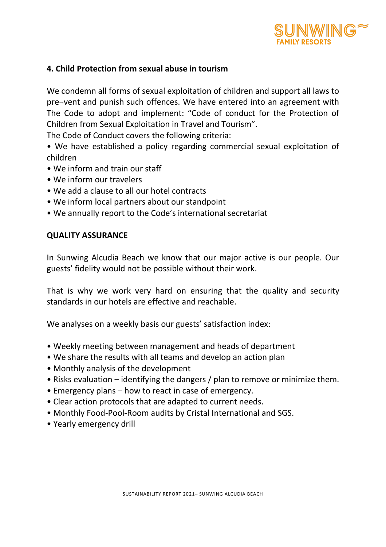

### **4. Child Protection from sexual abuse in tourism**

We condemn all forms of sexual exploitation of children and support all laws to pre¬vent and punish such offences. We have entered into an agreement with The Code to adopt and implement: "Code of conduct for the Protection of Children from Sexual Exploitation in Travel and Tourism".

The Code of Conduct covers the following criteria:

• We have established a policy regarding commercial sexual exploitation of children

- We inform and train our staff
- We inform our travelers
- We add a clause to all our hotel contracts
- We inform local partners about our standpoint
- We annually report to the Code's international secretariat

#### **QUALITY ASSURANCE**

In Sunwing Alcudia Beach we know that our major active is our people. Our guests' fidelity would not be possible without their work.

That is why we work very hard on ensuring that the quality and security standards in our hotels are effective and reachable.

We analyses on a weekly basis our guests' satisfaction index:

- Weekly meeting between management and heads of department
- We share the results with all teams and develop an action plan
- Monthly analysis of the development
- Risks evaluation identifying the dangers / plan to remove or minimize them.
- Emergency plans how to react in case of emergency.
- Clear action protocols that are adapted to current needs.
- Monthly Food-Pool-Room audits by Cristal International and SGS.
- Yearly emergency drill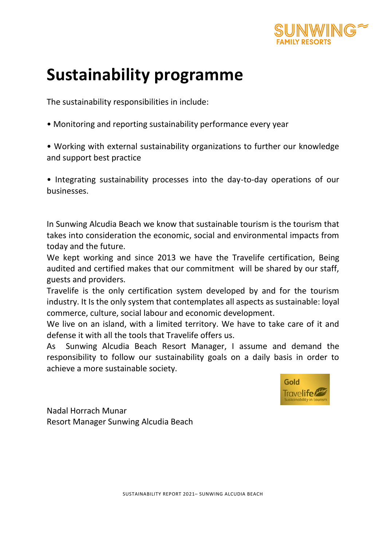

# **Sustainability programme**

The sustainability responsibilities in include:

• Monitoring and reporting sustainability performance every year

• Working with external sustainability organizations to further our knowledge and support best practice

• Integrating sustainability processes into the day-to-day operations of our businesses.

In Sunwing Alcudia Beach we know that sustainable tourism is the tourism that takes into consideration the economic, social and environmental impacts from today and the future.

We kept working and since 2013 we have the Travelife certification, Being audited and certified makes that our commitment will be shared by our staff, guests and providers.

Travelife is the only certification system developed by and for the tourism industry. It Is the only system that contemplates all aspects as sustainable: loyal commerce, culture, social labour and economic development.

We live on an island, with a limited territory. We have to take care of it and defense it with all the tools that Travelife offers us.

As Sunwing Alcudia Beach Resort Manager, I assume and demand the responsibility to follow our sustainability goals on a daily basis in order to achieve a more sustainable society.



Nadal Horrach Munar Resort Manager Sunwing Alcudia Beach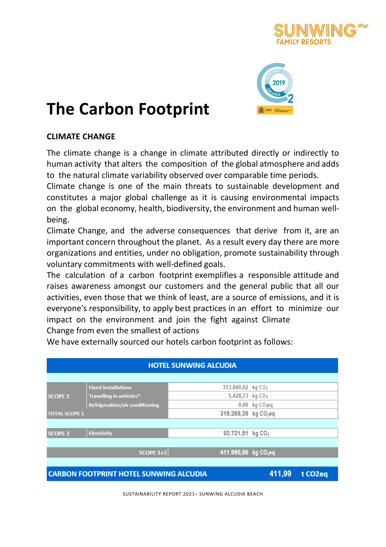



# **The Carbon Footprint**

### **CLIMATE CHANGE**

The climate change is a change in climate attributed directly or indirectly to human activity that alters the composition of the global atmosphere and adds to the natural climate variability observed over comparable time periods.

Climate change is one of the main threats to sustainable development and constitutes a major global challenge as it is causing environmental impacts on the global economy, health, biodiversity, the environment and human well‐ being.

Climate Change, and the adverse consequences that derive from it, are an important concern throughout the planet. As a result every day there are more organizations and entities, under no obligation, promote sustainability through voluntary commitments with well‐defined goals.

The calculation of a carbon footprint exemplifies a responsible attitude and raises awareness amongst our customers and the general public that all our activities, even those that we think of least, are a source of emissions, and it is everyone's responsibility, to apply best practices in an effort to minimize our impact on the environment and join the fight against Climate Change from even the smallest of actions

We have externally sourced our hotels carbon footprint as follows:

| <b>HOTEL SUNWING ALCUDIA</b>                                                    |                                       |                                  |                                |  |
|---------------------------------------------------------------------------------|---------------------------------------|----------------------------------|--------------------------------|--|
|                                                                                 |                                       |                                  |                                |  |
|                                                                                 | <b>Fixed installations</b>            | 313.840,62 kg CO <sub>2</sub>    |                                |  |
| <b>SCOPE 1</b>                                                                  | Travelling in vehicles*               | 5.428,73 kg CO <sub>2</sub>      |                                |  |
|                                                                                 | <b>Refrigeration/air conditioning</b> |                                  | $0,00$ kg $CO$ <sub>2</sub> eq |  |
| <b>TOTAL SCOPE 1</b>                                                            |                                       | 319.269,35 kg CO <sub>2</sub> eq |                                |  |
|                                                                                 |                                       |                                  |                                |  |
| <b>SCOPE 2</b>                                                                  | <b>Electricity</b>                    | 92.721,51 kg CO <sub>2</sub>     |                                |  |
|                                                                                 |                                       |                                  |                                |  |
|                                                                                 | $SCOPE 1+2$                           | 411.990,86 kg CO <sub>2</sub> eq |                                |  |
|                                                                                 |                                       |                                  |                                |  |
| 411,99<br><b>CARBON FOOTPRINT HOTEL SUNWING ALCUDIA</b><br>t CO <sub>2</sub> eq |                                       |                                  |                                |  |

SUSTAINABILITY REPORT 2021– SUNWING ALCUDIA BEACH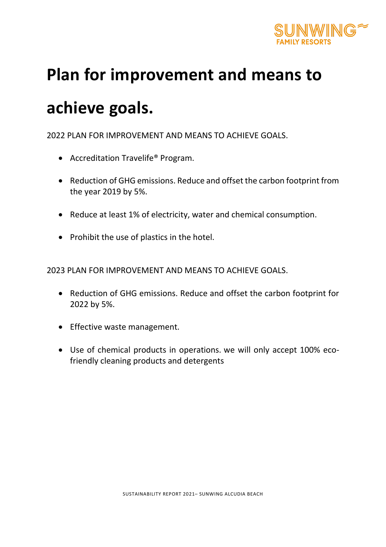

# **Plan for improvement and means to**

# **achieve goals.**

2022 PLAN FOR IMPROVEMENT AND MEANS TO ACHIEVE GOALS.

- Accreditation Travelife® Program.
- Reduction of GHG emissions. Reduce and offset the carbon footprint from the year 2019 by 5%.
- Reduce at least 1% of electricity, water and chemical consumption.
- Prohibit the use of plastics in the hotel.

2023 PLAN FOR IMPROVEMENT AND MEANS TO ACHIEVE GOALS.

- Reduction of GHG emissions. Reduce and offset the carbon footprint for 2022 by 5%.
- Effective waste management.
- Use of chemical products in operations. we will only accept 100% ecofriendly cleaning products and detergents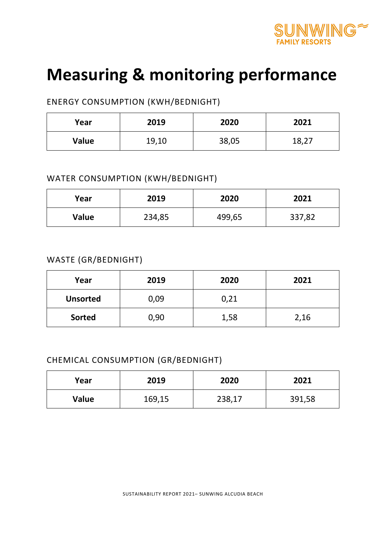

# **Measuring & monitoring performance**

### ENERGY CONSUMPTION (KWH/BEDNIGHT)

| Year         | 2019  | 2020  | 2021  |
|--------------|-------|-------|-------|
| <b>Value</b> | 19,10 | 38,05 | 18,27 |

### WATER CONSUMPTION (KWH/BEDNIGHT)

| Year  | 2019   | 2020   | 2021   |
|-------|--------|--------|--------|
| Value | 234,85 | 499,65 | 337,82 |

### WASTE (GR/BEDNIGHT)

| Year            | 2019 | 2020 | 2021 |
|-----------------|------|------|------|
| <b>Unsorted</b> | 0,09 | 0,21 |      |
| <b>Sorted</b>   | 0,90 | 1,58 | 2,16 |

### CHEMICAL CONSUMPTION (GR/BEDNIGHT)

| Year  | 2019   | 2020   | 2021   |
|-------|--------|--------|--------|
| Value | 169,15 | 238,17 | 391,58 |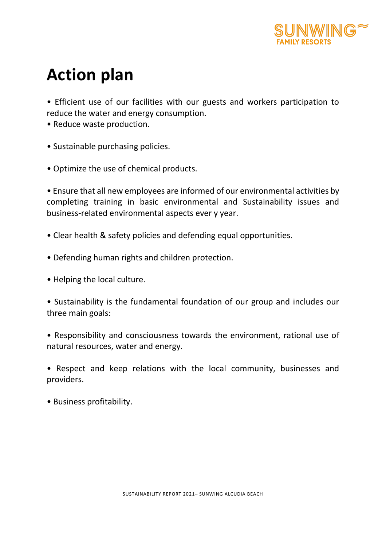

# **Action plan**

• Efficient use of our facilities with our guests and workers participation to reduce the water and energy consumption.

- Reduce waste production.
- Sustainable purchasing policies.
- Optimize the use of chemical products.

• Ensure that all new employees are informed of our environmental activities by completing training in basic environmental and Sustainability issues and business-related environmental aspects ever y year.

- Clear health & safety policies and defending equal opportunities.
- Defending human rights and children protection.
- Helping the local culture.

• Sustainability is the fundamental foundation of our group and includes our three main goals:

• Responsibility and consciousness towards the environment, rational use of natural resources, water and energy.

• Respect and keep relations with the local community, businesses and providers.

• Business profitability.